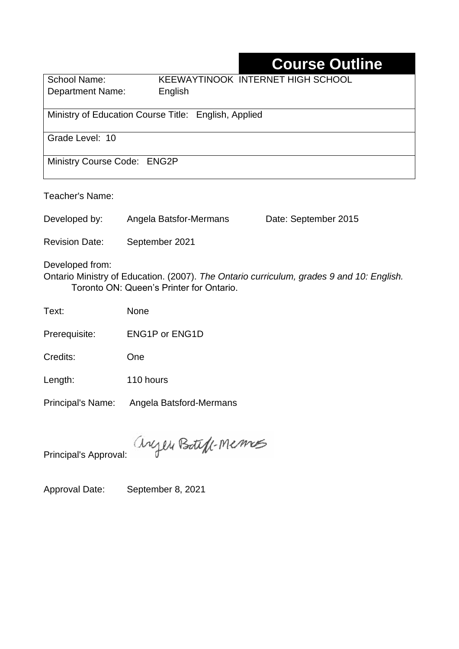# **Course Outline**

| <b>School Name:</b>         | KEEWAYTINOOK INTERNET HIGH SCHOOL                    |
|-----------------------------|------------------------------------------------------|
| <b>Department Name:</b>     | English                                              |
|                             | Ministry of Education Course Title: English, Applied |
|                             |                                                      |
| Grade Level: 10             |                                                      |
| Ministry Course Code: ENG2P |                                                      |
|                             |                                                      |
| Teacher's Name:             |                                                      |

Developed by: Angela Batsfor-Mermans Date: September 2015

Revision Date: September 2021

Developed from:

Ontario Ministry of Education. (2007). *The Ontario curriculum, grades 9 and 10: English.*  Toronto ON: Queen's Printer for Ontario.

Text: None

Prerequisite: ENG1P or ENG1D

Credits: One

Length: 110 hours

Principal's Name: Angela Batsford-Mermans

anyen Boteff-Memos

Principal's Approval:

Approval Date: September 8, 2021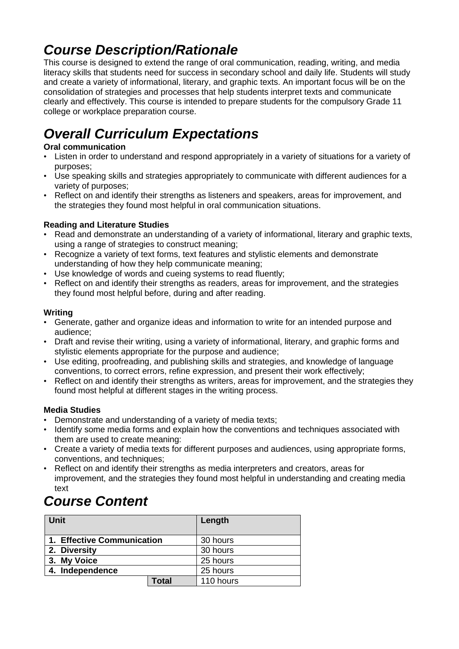## *Course Description/Rationale*

This course is designed to extend the range of oral communication, reading, writing, and media literacy skills that students need for success in secondary school and daily life. Students will study and create a variety of informational, literary, and graphic texts. An important focus will be on the consolidation of strategies and processes that help students interpret texts and communicate clearly and effectively. This course is intended to prepare students for the compulsory Grade 11 college or workplace preparation course.

# *Overall Curriculum Expectations*

#### **Oral communication**

- Listen in order to understand and respond appropriately in a variety of situations for a variety of purposes;
- Use speaking skills and strategies appropriately to communicate with different audiences for a variety of purposes;
- Reflect on and identify their strengths as listeners and speakers, areas for improvement, and the strategies they found most helpful in oral communication situations.

#### **Reading and Literature Studies**

- Read and demonstrate an understanding of a variety of informational, literary and graphic texts, using a range of strategies to construct meaning;
- Recognize a variety of text forms, text features and stylistic elements and demonstrate understanding of how they help communicate meaning;
- Use knowledge of words and cueing systems to read fluently;
- Reflect on and identify their strengths as readers, areas for improvement, and the strategies they found most helpful before, during and after reading.

#### **Writing**

- Generate, gather and organize ideas and information to write for an intended purpose and audience;
- Draft and revise their writing, using a variety of informational, literary, and graphic forms and stylistic elements appropriate for the purpose and audience;
- Use editing, proofreading, and publishing skills and strategies, and knowledge of language conventions, to correct errors, refine expression, and present their work effectively;
- Reflect on and identify their strengths as writers, areas for improvement, and the strategies they found most helpful at different stages in the writing process.

#### **Media Studies**

- Demonstrate and understanding of a variety of media texts;
- Identify some media forms and explain how the conventions and techniques associated with them are used to create meaning:
- Create a variety of media texts for different purposes and audiences, using appropriate forms, conventions, and techniques;
- Reflect on and identify their strengths as media interpreters and creators, areas for improvement, and the strategies they found most helpful in understanding and creating media text

### *Course Content*

| <b>Unit</b>                |       | Length    |
|----------------------------|-------|-----------|
| 1. Effective Communication |       | 30 hours  |
| 2. Diversity               |       | 30 hours  |
| 3. My Voice                |       | 25 hours  |
| 4. Independence            |       | 25 hours  |
|                            | Total | 110 hours |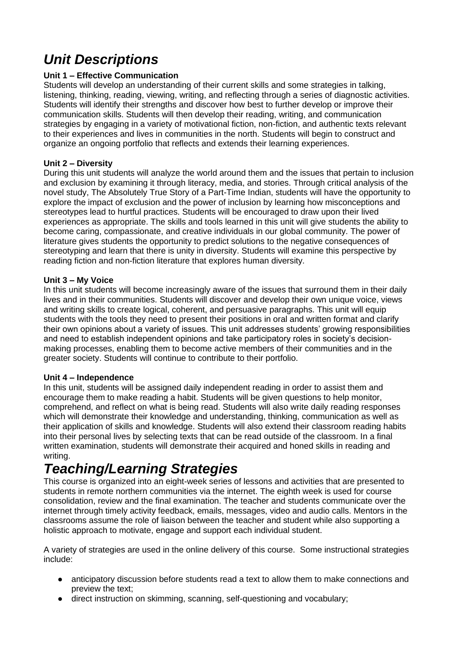## *Unit Descriptions*

#### **Unit 1 – Effective Communication**

Students will develop an understanding of their current skills and some strategies in talking, listening, thinking, reading, viewing, writing, and reflecting through a series of diagnostic activities. Students will identify their strengths and discover how best to further develop or improve their communication skills. Students will then develop their reading, writing, and communication strategies by engaging in a variety of motivational fiction, non-fiction, and authentic texts relevant to their experiences and lives in communities in the north. Students will begin to construct and organize an ongoing portfolio that reflects and extends their learning experiences.

#### **Unit 2 – Diversity**

During this unit students will analyze the world around them and the issues that pertain to inclusion and exclusion by examining it through literacy, media, and stories. Through critical analysis of the novel study, The Absolutely True Story of a Part-Time Indian, students will have the opportunity to explore the impact of exclusion and the power of inclusion by learning how misconceptions and stereotypes lead to hurtful practices. Students will be encouraged to draw upon their lived experiences as appropriate. The skills and tools learned in this unit will give students the ability to become caring, compassionate, and creative individuals in our global community. The power of literature gives students the opportunity to predict solutions to the negative consequences of stereotyping and learn that there is unity in diversity. Students will examine this perspective by reading fiction and non-fiction literature that explores human diversity.

#### **Unit 3 – My Voice**

In this unit students will become increasingly aware of the issues that surround them in their daily lives and in their communities. Students will discover and develop their own unique voice, views and writing skills to create logical, coherent, and persuasive paragraphs. This unit will equip students with the tools they need to present their positions in oral and written format and clarify their own opinions about a variety of issues. This unit addresses students' growing responsibilities and need to establish independent opinions and take participatory roles in society's decisionmaking processes, enabling them to become active members of their communities and in the greater society. Students will continue to contribute to their portfolio.

#### **Unit 4 – Independence**

In this unit, students will be assigned daily independent reading in order to assist them and encourage them to make reading a habit. Students will be given questions to help monitor, comprehend, and reflect on what is being read. Students will also write daily reading responses which will demonstrate their knowledge and understanding, thinking, communication as well as their application of skills and knowledge. Students will also extend their classroom reading habits into their personal lives by selecting texts that can be read outside of the classroom. In a final written examination, students will demonstrate their acquired and honed skills in reading and writing.

## *Teaching/Learning Strategies*

This course is organized into an eight-week series of lessons and activities that are presented to students in remote northern communities via the internet. The eighth week is used for course consolidation, review and the final examination. The teacher and students communicate over the internet through timely activity feedback, emails, messages, video and audio calls. Mentors in the classrooms assume the role of liaison between the teacher and student while also supporting a holistic approach to motivate, engage and support each individual student.

A variety of strategies are used in the online delivery of this course. Some instructional strategies include:

- anticipatory discussion before students read a text to allow them to make connections and preview the text;
- direct instruction on skimming, scanning, self-questioning and vocabulary;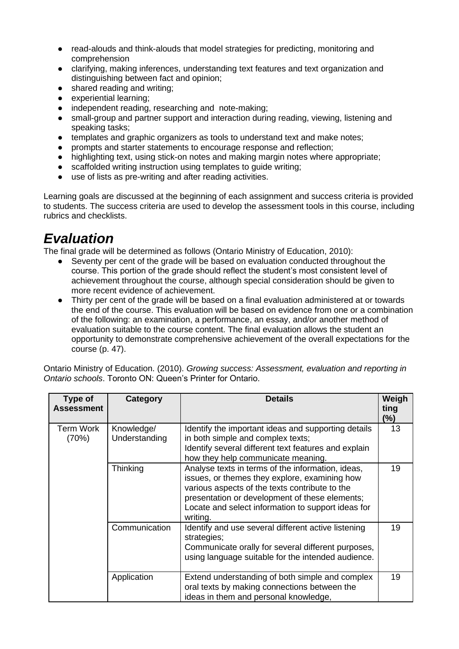- read-alouds and think-alouds that model strategies for predicting, monitoring and comprehension
- clarifying, making inferences, understanding text features and text organization and distinguishing between fact and opinion;
- shared reading and writing;
- experiential learning;
- independent reading, researching and note-making;
- small-group and partner support and interaction during reading, viewing, listening and speaking tasks;
- templates and graphic organizers as tools to understand text and make notes;
- prompts and starter statements to encourage response and reflection;
- highlighting text, using stick-on notes and making margin notes where appropriate;
- scaffolded writing instruction using templates to quide writing;
- use of lists as pre-writing and after reading activities.

Learning goals are discussed at the beginning of each assignment and success criteria is provided to students. The success criteria are used to develop the assessment tools in this course, including rubrics and checklists.

### *Evaluation*

The final grade will be determined as follows (Ontario Ministry of Education, 2010):

- Seventy per cent of the grade will be based on evaluation conducted throughout the course. This portion of the grade should reflect the student's most consistent level of achievement throughout the course, although special consideration should be given to more recent evidence of achievement.
- Thirty per cent of the grade will be based on a final evaluation administered at or towards the end of the course. This evaluation will be based on evidence from one or a combination of the following: an examination, a performance, an essay, and/or another method of evaluation suitable to the course content. The final evaluation allows the student an opportunity to demonstrate comprehensive achievement of the overall expectations for the course (p. 47).

Ontario Ministry of Education. (2010). *Growing success: Assessment, evaluation and reporting in Ontario schools*. Toronto ON: Queen's Printer for Ontario.

| Type of<br><b>Assessment</b> | Category                    | <b>Details</b>                                                                                                                                                                                                                                                           | Weigh<br>ting<br>(%) |
|------------------------------|-----------------------------|--------------------------------------------------------------------------------------------------------------------------------------------------------------------------------------------------------------------------------------------------------------------------|----------------------|
| <b>Term Work</b><br>(70%)    | Knowledge/<br>Understanding | Identify the important ideas and supporting details<br>in both simple and complex texts;<br>Identify several different text features and explain<br>how they help communicate meaning.                                                                                   | 13                   |
|                              | Thinking                    | Analyse texts in terms of the information, ideas,<br>issues, or themes they explore, examining how<br>various aspects of the texts contribute to the<br>presentation or development of these elements;<br>Locate and select information to support ideas for<br>writing. | 19                   |
|                              | Communication               | Identify and use several different active listening<br>strategies;<br>Communicate orally for several different purposes,<br>using language suitable for the intended audience.                                                                                           | 19                   |
|                              | Application                 | Extend understanding of both simple and complex<br>oral texts by making connections between the<br>ideas in them and personal knowledge,                                                                                                                                 | 19                   |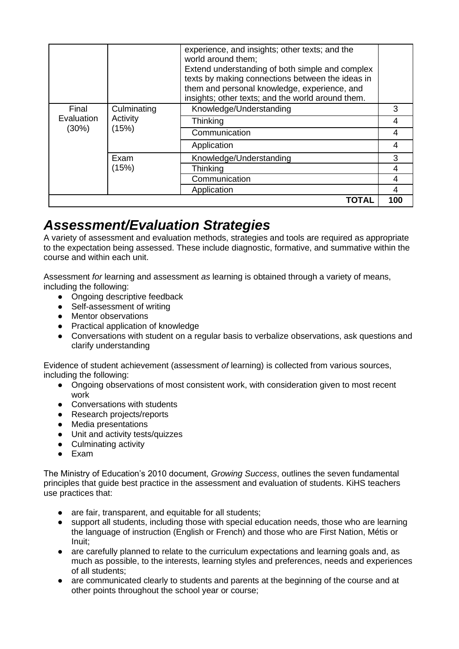| (30%)      |
|------------|
| Evaluation |
| Final      |
|            |

### *Assessment/Evaluation Strategies*

A variety of assessment and evaluation methods, strategies and tools are required as appropriate to the expectation being assessed. These include diagnostic, formative, and summative within the course and within each unit.

Assessment *for* learning and assessment *as* learning is obtained through a variety of means, including the following:

- Ongoing descriptive feedback
- Self-assessment of writing
- Mentor observations
- Practical application of knowledge
- Conversations with student on a regular basis to verbalize observations, ask questions and clarify understanding

Evidence of student achievement (assessment *of* learning) is collected from various sources, including the following:

- Ongoing observations of most consistent work, with consideration given to most recent work
- Conversations with students
- Research projects/reports
- Media presentations
- Unit and activity tests/quizzes
- Culminating activity
- Exam

The Ministry of Education's 2010 document, *Growing Success*, outlines the seven fundamental principles that guide best practice in the assessment and evaluation of students. KiHS teachers use practices that:

- are fair, transparent, and equitable for all students;
- support all students, including those with special education needs, those who are learning the language of instruction (English or French) and those who are First Nation, Métis or Inuit;
- are carefully planned to relate to the curriculum expectations and learning goals and, as much as possible, to the interests, learning styles and preferences, needs and experiences of all students;
- are communicated clearly to students and parents at the beginning of the course and at other points throughout the school year or course;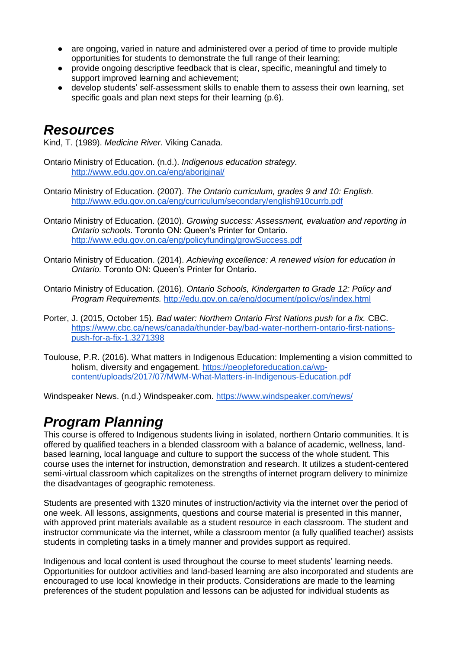- are ongoing, varied in nature and administered over a period of time to provide multiple opportunities for students to demonstrate the full range of their learning;
- provide ongoing descriptive feedback that is clear, specific, meaningful and timely to support improved learning and achievement;
- develop students' self-assessment skills to enable them to assess their own learning, set specific goals and plan next steps for their learning (p.6).

### *Resources*

Kind, T. (1989). *Medicine River.* Viking Canada.

- Ontario Ministry of Education. (n.d.). *Indigenous education strategy.* <http://www.edu.gov.on.ca/eng/aboriginal/>
- Ontario Ministry of Education. (2007). *The Ontario curriculum, grades 9 and 10: English.*  <http://www.edu.gov.on.ca/eng/curriculum/secondary/english910currb.pdf>
- Ontario Ministry of Education. (2010). *Growing success: Assessment, evaluation and reporting in Ontario schools*. Toronto ON: Queen's Printer for Ontario. <http://www.edu.gov.on.ca/eng/policyfunding/growSuccess.pdf>
- Ontario Ministry of Education. (2014). *Achieving excellence: A renewed vision for education in Ontario.* Toronto ON: Queen's Printer for Ontario.
- Ontario Ministry of Education. (2016). *Ontario Schools, Kindergarten to Grade 12: Policy and Program Requirements.* <http://edu.gov.on.ca/eng/document/policy/os/index.html>
- Porter, J. (2015, October 15). *Bad water: Northern Ontario First Nations push for a fix.* CBC. [https://www.cbc.ca/news/canada/thunder-bay/bad-water-northern-ontario-first-nations](https://www.cbc.ca/news/canada/thunder-bay/bad-water-northern-ontario-first-nations-push-for-a-fix-1.3271398)[push-for-a-fix-1.3271398](https://www.cbc.ca/news/canada/thunder-bay/bad-water-northern-ontario-first-nations-push-for-a-fix-1.3271398)
- Toulouse, P.R. (2016). What matters in Indigenous Education: Implementing a vision committed to holism, diversity and engagement. [https://peopleforeducation.ca/wp](https://peopleforeducation.ca/wp-content/uploads/2017/07/MWM-What-Matters-in-Indigenous-Education.pdf)[content/uploads/2017/07/MWM-What-Matters-in-Indigenous-Education.pdf](https://peopleforeducation.ca/wp-content/uploads/2017/07/MWM-What-Matters-in-Indigenous-Education.pdf)

Windspeaker News. (n.d.) Windspeaker.com.<https://www.windspeaker.com/news/>

### *Program Planning*

This course is offered to Indigenous students living in isolated, northern Ontario communities. It is offered by qualified teachers in a blended classroom with a balance of academic, wellness, landbased learning, local language and culture to support the success of the whole student. This course uses the internet for instruction, demonstration and research. It utilizes a student-centered semi-virtual classroom which capitalizes on the strengths of internet program delivery to minimize the disadvantages of geographic remoteness.

Students are presented with 1320 minutes of instruction/activity via the internet over the period of one week. All lessons, assignments, questions and course material is presented in this manner, with approved print materials available as a student resource in each classroom. The student and instructor communicate via the internet, while a classroom mentor (a fully qualified teacher) assists students in completing tasks in a timely manner and provides support as required.

Indigenous and local content is used throughout the course to meet students' learning needs. Opportunities for outdoor activities and land-based learning are also incorporated and students are encouraged to use local knowledge in their products. Considerations are made to the learning preferences of the student population and lessons can be adjusted for individual students as